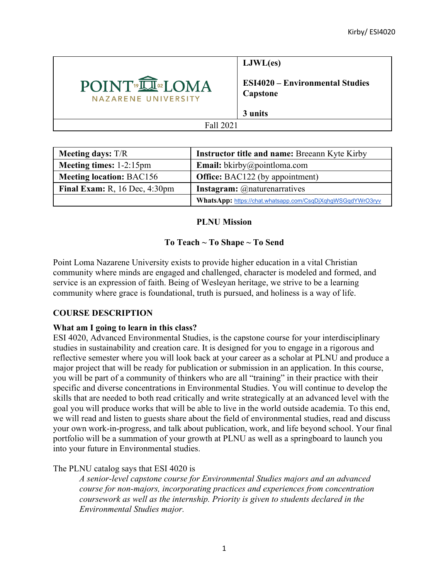

**LJWL(es)**

**ESI4020 – Environmental Studies Capstone**

**3 units**

#### Fall 2021

| <b>Meeting days:</b> T/R           | <b>Instructor title and name: Breeann Kyte Kirby</b>       |
|------------------------------------|------------------------------------------------------------|
| Meeting times: 1-2:15pm            | <b>Email:</b> bkirby@pointloma.com                         |
| <b>Meeting location: BAC156</b>    | <b>Office:</b> BAC122 (by appointment)                     |
| Final Exam: R, $16$ Dec, $4:30$ pm | <b>Instagram:</b> @naturenarratives                        |
|                                    | WhatsApp: https://chat.whatsapp.com/CsqDjXqhgWSGqdYWrO3ryv |

# **PLNU Mission**

# **To Teach ~ To Shape ~ To Send**

Point Loma Nazarene University exists to provide higher education in a vital Christian community where minds are engaged and challenged, character is modeled and formed, and service is an expression of faith. Being of Wesleyan heritage, we strive to be a learning community where grace is foundational, truth is pursued, and holiness is a way of life.

## **COURSE DESCRIPTION**

## **What am I going to learn in this class?**

ESI 4020, Advanced Environmental Studies, is the capstone course for your interdisciplinary studies in sustainability and creation care. It is designed for you to engage in a rigorous and reflective semester where you will look back at your career as a scholar at PLNU and produce a major project that will be ready for publication or submission in an application. In this course, you will be part of a community of thinkers who are all "training" in their practice with their specific and diverse concentrations in Environmental Studies. You will continue to develop the skills that are needed to both read critically and write strategically at an advanced level with the goal you will produce works that will be able to live in the world outside academia. To this end, we will read and listen to guests share about the field of environmental studies, read and discuss your own work-in-progress, and talk about publication, work, and life beyond school. Your final portfolio will be a summation of your growth at PLNU as well as a springboard to launch you into your future in Environmental studies.

# The PLNU catalog says that ESI 4020 is

*A senior-level capstone course for Environmental Studies majors and an advanced course for non-majors, incorporating practices and experiences from concentration coursework as well as the internship. Priority is given to students declared in the Environmental Studies major.*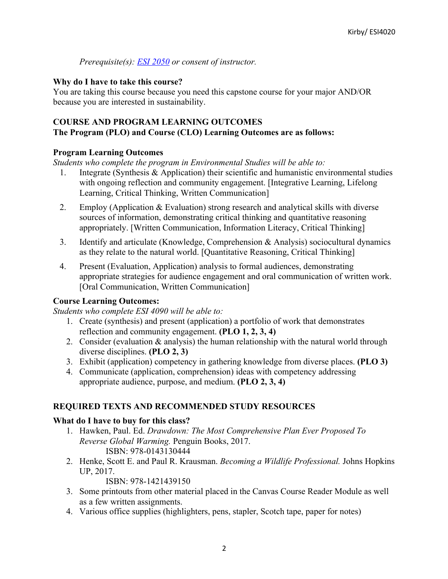*Prerequisite(s): ESI 2050 or consent of instructor.*

#### **Why do I have to take this course?**

You are taking this course because you need this capstone course for your major AND/OR because you are interested in sustainability.

## **COURSE AND PROGRAM LEARNING OUTCOMES**

#### **The Program (PLO) and Course (CLO) Learning Outcomes are as follows:**

#### **Program Learning Outcomes**

*Students who complete the program in Environmental Studies will be able to:*

- 1. Integrate (Synthesis & Application) their scientific and humanistic environmental studies with ongoing reflection and community engagement. [Integrative Learning, Lifelong Learning, Critical Thinking, Written Communication]
- 2. Employ (Application & Evaluation) strong research and analytical skills with diverse sources of information, demonstrating critical thinking and quantitative reasoning appropriately. [Written Communication, Information Literacy, Critical Thinking]
- 3. Identify and articulate (Knowledge, Comprehension & Analysis) sociocultural dynamics as they relate to the natural world. [Quantitative Reasoning, Critical Thinking]
- 4. Present (Evaluation, Application) analysis to formal audiences, demonstrating appropriate strategies for audience engagement and oral communication of written work. [Oral Communication, Written Communication]

## **Course Learning Outcomes:**

*Students who complete ESI 4090 will be able to:*

- 1. Create (synthesis) and present (application) a portfolio of work that demonstrates reflection and community engagement. **(PLO 1, 2, 3, 4)**
- 2. Consider (evaluation & analysis) the human relationship with the natural world through diverse disciplines. **(PLO 2, 3)**
- 3. Exhibit (application) competency in gathering knowledge from diverse places. **(PLO 3)**
- 4. Communicate (application, comprehension) ideas with competency addressing appropriate audience, purpose, and medium. **(PLO 2, 3, 4)**

## **REQUIRED TEXTS AND RECOMMENDED STUDY RESOURCES**

## **What do I have to buy for this class?**

- 1. Hawken, Paul. Ed. *Drawdown: The Most Comprehensive Plan Ever Proposed To Reverse Global Warming.* Penguin Books, 2017. ISBN: 978-0143130444
- 2. Henke, Scott E. and Paul R. Krausman. *Becoming a Wildlife Professional.* Johns Hopkins UP, 2017.

ISBN: 978-1421439150

- 3. Some printouts from other material placed in the Canvas Course Reader Module as well as a few written assignments.
- 4. Various office supplies (highlighters, pens, stapler, Scotch tape, paper for notes)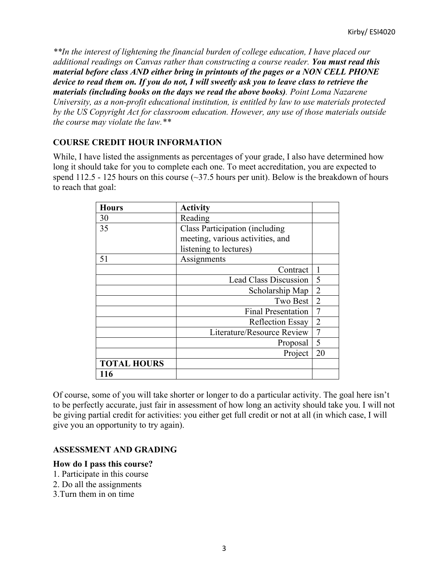*\*\*In the interest of lightening the financial burden of college education, I have placed our additional readings on Canvas rather than constructing a course reader. You must read this material before class AND either bring in printouts of the pages or a NON CELL PHONE device to read them on. If you do not, I will sweetly ask you to leave class to retrieve the materials (including books on the days we read the above books). Point Loma Nazarene University, as a non-profit educational institution, is entitled by law to use materials protected by the US Copyright Act for classroom education. However, any use of those materials outside the course may violate the law.\*\**

# **COURSE CREDIT HOUR INFORMATION**

While, I have listed the assignments as percentages of your grade, I also have determined how long it should take for you to complete each one. To meet accreditation, you are expected to spend 112.5 - 125 hours on this course  $(\sim]37.5$  hours per unit). Below is the breakdown of hours to reach that goal:

| <b>Hours</b>       | <b>Activity</b>                       |                |
|--------------------|---------------------------------------|----------------|
| 30                 | Reading                               |                |
| 35                 | <b>Class Participation (including</b> |                |
|                    | meeting, various activities, and      |                |
|                    | listening to lectures)                |                |
| 51                 | Assignments                           |                |
|                    | Contract                              | 1              |
|                    | <b>Lead Class Discussion</b>          | 5              |
|                    | Scholarship Map                       | $\overline{2}$ |
|                    | Two Best                              | $\overline{2}$ |
|                    | <b>Final Presentation</b>             | 7              |
|                    | <b>Reflection Essay</b>               | $\overline{2}$ |
|                    | Literature/Resource Review            | $\overline{7}$ |
|                    | Proposal                              | 5              |
|                    | Project                               | 20             |
| <b>TOTAL HOURS</b> |                                       |                |
| 116                |                                       |                |

Of course, some of you will take shorter or longer to do a particular activity. The goal here isn't to be perfectly accurate, just fair in assessment of how long an activity should take you. I will not be giving partial credit for activities: you either get full credit or not at all (in which case, I will give you an opportunity to try again).

## **ASSESSMENT AND GRADING**

#### **How do I pass this course?**

- 1. Participate in this course
- 2. Do all the assignments
- 3.Turn them in on time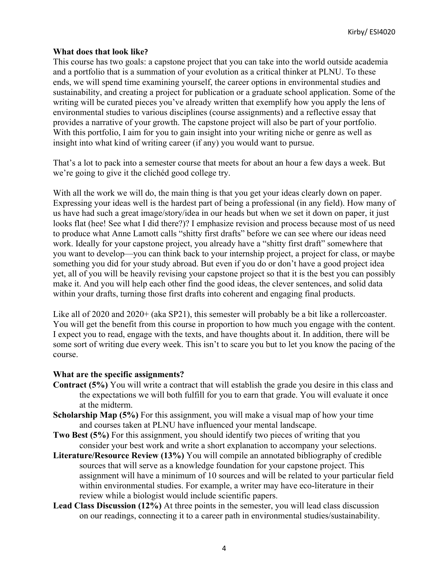#### **What does that look like?**

This course has two goals: a capstone project that you can take into the world outside academia and a portfolio that is a summation of your evolution as a critical thinker at PLNU. To these ends, we will spend time examining yourself, the career options in environmental studies and sustainability, and creating a project for publication or a graduate school application. Some of the writing will be curated pieces you've already written that exemplify how you apply the lens of environmental studies to various disciplines (course assignments) and a reflective essay that provides a narrative of your growth. The capstone project will also be part of your portfolio. With this portfolio, I aim for you to gain insight into your writing niche or genre as well as insight into what kind of writing career (if any) you would want to pursue.

That's a lot to pack into a semester course that meets for about an hour a few days a week. But we're going to give it the clichéd good college try.

With all the work we will do, the main thing is that you get your ideas clearly down on paper. Expressing your ideas well is the hardest part of being a professional (in any field). How many of us have had such a great image/story/idea in our heads but when we set it down on paper, it just looks flat (hee! See what I did there?)? I emphasize revision and process because most of us need to produce what Anne Lamott calls "shitty first drafts" before we can see where our ideas need work. Ideally for your capstone project, you already have a "shitty first draft" somewhere that you want to develop—you can think back to your internship project, a project for class, or maybe something you did for your study abroad. But even if you do or don't have a good project idea yet, all of you will be heavily revising your capstone project so that it is the best you can possibly make it. And you will help each other find the good ideas, the clever sentences, and solid data within your drafts, turning those first drafts into coherent and engaging final products.

Like all of 2020 and 2020+ (aka SP21), this semester will probably be a bit like a rollercoaster. You will get the benefit from this course in proportion to how much you engage with the content. I expect you to read, engage with the texts, and have thoughts about it. In addition, there will be some sort of writing due every week. This isn't to scare you but to let you know the pacing of the course.

#### **What are the specific assignments?**

- **Contract (5%)** You will write a contract that will establish the grade you desire in this class and the expectations we will both fulfill for you to earn that grade. You will evaluate it once at the midterm.
- **Scholarship Map (5%)** For this assignment, you will make a visual map of how your time and courses taken at PLNU have influenced your mental landscape.
- **Two Best (5%)** For this assignment, you should identify two pieces of writing that you consider your best work and write a short explanation to accompany your selections.
- **Literature/Resource Review (13%)** You will compile an annotated bibliography of credible sources that will serve as a knowledge foundation for your capstone project. This assignment will have a minimum of 10 sources and will be related to your particular field within environmental studies. For example, a writer may have eco-literature in their review while a biologist would include scientific papers.
- **Lead Class Discussion (12%)** At three points in the semester, you will lead class discussion on our readings, connecting it to a career path in environmental studies/sustainability.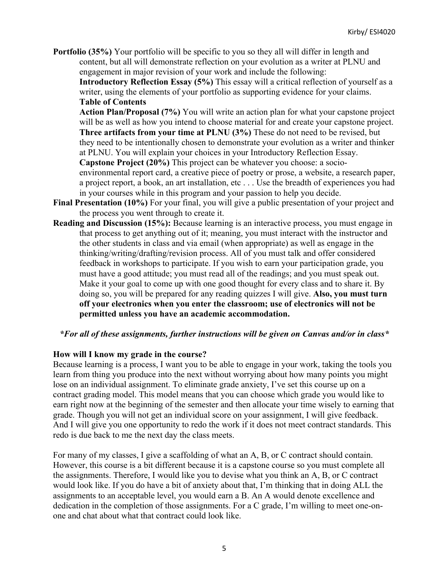**Portfolio (35%)** Your portfolio will be specific to you so they all will differ in length and content, but all will demonstrate reflection on your evolution as a writer at PLNU and engagement in major revision of your work and include the following:

**Introductory Reflection Essay (5%)** This essay will a critical reflection of yourself as a writer, using the elements of your portfolio as supporting evidence for your claims. **Table of Contents**

**Action Plan/Proposal (7%)** You will write an action plan for what your capstone project will be as well as how you intend to choose material for and create your capstone project. **Three artifacts from your time at PLNU (3%)** These do not need to be revised, but they need to be intentionally chosen to demonstrate your evolution as a writer and thinker at PLNU. You will explain your choices in your Introductory Reflection Essay.

**Capstone Project (20%)** This project can be whatever you choose: a socioenvironmental report card, a creative piece of poetry or prose, a website, a research paper, a project report, a book, an art installation, etc . . . Use the breadth of experiences you had in your courses while in this program and your passion to help you decide.

- **Final Presentation (10%)** For your final, you will give a public presentation of your project and the process you went through to create it.
- **Reading and Discussion (15%):** Because learning is an interactive process, you must engage in that process to get anything out of it; meaning, you must interact with the instructor and the other students in class and via email (when appropriate) as well as engage in the thinking/writing/drafting/revision process. All of you must talk and offer considered feedback in workshops to participate. If you wish to earn your participation grade, you must have a good attitude; you must read all of the readings; and you must speak out. Make it your goal to come up with one good thought for every class and to share it. By doing so, you will be prepared for any reading quizzes I will give. **Also, you must turn off your electronics when you enter the classroom; use of electronics will not be permitted unless you have an academic accommodation.**

#### *\*For all of these assignments, further instructions will be given on Canvas and/or in class\**

#### **How will I know my grade in the course?**

Because learning is a process, I want you to be able to engage in your work, taking the tools you learn from thing you produce into the next without worrying about how many points you might lose on an individual assignment. To eliminate grade anxiety, I've set this course up on a contract grading model. This model means that you can choose which grade you would like to earn right now at the beginning of the semester and then allocate your time wisely to earning that grade. Though you will not get an individual score on your assignment, I will give feedback. And I will give you one opportunity to redo the work if it does not meet contract standards. This redo is due back to me the next day the class meets.

For many of my classes, I give a scaffolding of what an A, B, or C contract should contain. However, this course is a bit different because it is a capstone course so you must complete all the assignments. Therefore, I would like you to devise what you think an A, B, or C contract would look like. If you do have a bit of anxiety about that, I'm thinking that in doing ALL the assignments to an acceptable level, you would earn a B. An A would denote excellence and dedication in the completion of those assignments. For a C grade, I'm willing to meet one-onone and chat about what that contract could look like.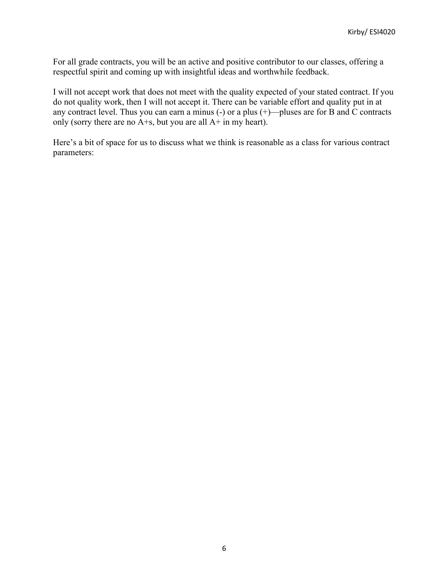For all grade contracts, you will be an active and positive contributor to our classes, offering a respectful spirit and coming up with insightful ideas and worthwhile feedback.

I will not accept work that does not meet with the quality expected of your stated contract. If you do not quality work, then I will not accept it. There can be variable effort and quality put in at any contract level. Thus you can earn a minus (-) or a plus (+)—pluses are for B and C contracts only (sorry there are no  $A + s$ , but you are all  $A + i$ n my heart).

Here's a bit of space for us to discuss what we think is reasonable as a class for various contract parameters: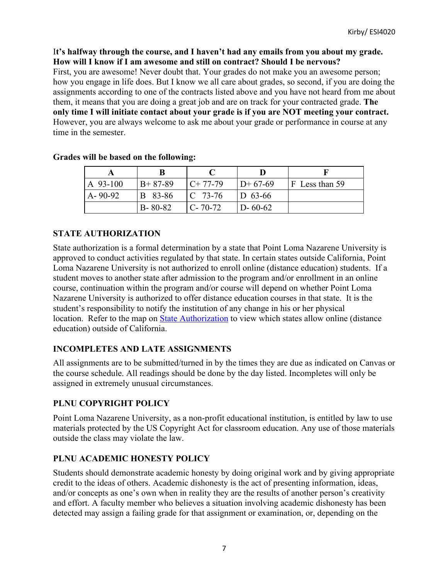## I**t's halfway through the course, and I haven't had any emails from you about my grade. How will I know if I am awesome and still on contract? Should I be nervous?**

First, you are awesome! Never doubt that. Your grades do not make you an awesome person; how you engage in life does. But I know we all care about grades, so second, if you are doing the assignments according to one of the contracts listed above and you have not heard from me about them, it means that you are doing a great job and are on track for your contracted grade. **The only time I will initiate contact about your grade is if you are NOT meeting your contract.** However, you are always welcome to ask me about your grade or performance in course at any time in the semester.

| A 93-100      | $B+87-89$     | $C+77-79$           | $D+67-69$     | F Less than 59 |
|---------------|---------------|---------------------|---------------|----------------|
| $A - 90 - 92$ | B 83-86       | $\mathsf{IC}$ 73-76 | $D_{63-66}$   |                |
|               | $B - 80 - 82$ | $C - 70 - 72$       | $D - 60 - 62$ |                |

## **Grades will be based on the following:**

# **STATE AUTHORIZATION**

State authorization is a formal determination by a state that Point Loma Nazarene University is approved to conduct activities regulated by that state. In certain states outside California, Point Loma Nazarene University is not authorized to enroll online (distance education) students. If a student moves to another state after admission to the program and/or enrollment in an online course, continuation within the program and/or course will depend on whether Point Loma Nazarene University is authorized to offer distance education courses in that state. It is the student's responsibility to notify the institution of any change in his or her physical location. Refer to the map on State Authorization to view which states allow online (distance education) outside of California.

## **INCOMPLETES AND LATE ASSIGNMENTS**

All assignments are to be submitted/turned in by the times they are due as indicated on Canvas or the course schedule. All readings should be done by the day listed. Incompletes will only be assigned in extremely unusual circumstances.

## **PLNU COPYRIGHT POLICY**

Point Loma Nazarene University, as a non-profit educational institution, is entitled by law to use materials protected by the US Copyright Act for classroom education. Any use of those materials outside the class may violate the law.

# **PLNU ACADEMIC HONESTY POLICY**

Students should demonstrate academic honesty by doing original work and by giving appropriate credit to the ideas of others. Academic dishonesty is the act of presenting information, ideas, and/or concepts as one's own when in reality they are the results of another person's creativity and effort. A faculty member who believes a situation involving academic dishonesty has been detected may assign a failing grade for that assignment or examination, or, depending on the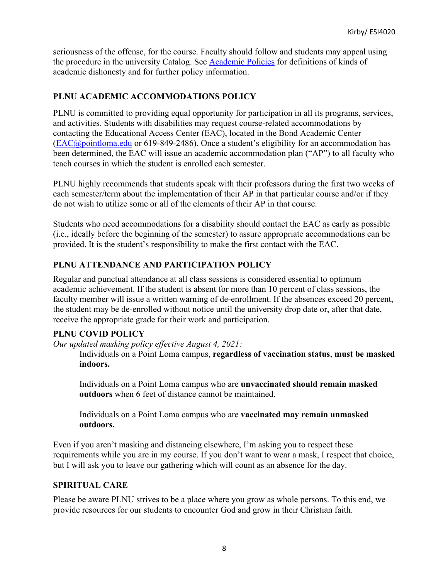seriousness of the offense, for the course. Faculty should follow and students may appeal using the procedure in the university Catalog. See Academic Policies for definitions of kinds of academic dishonesty and for further policy information.

# **PLNU ACADEMIC ACCOMMODATIONS POLICY**

PLNU is committed to providing equal opportunity for participation in all its programs, services, and activities. Students with disabilities may request course-related accommodations by contacting the Educational Access Center (EAC), located in the Bond Academic Center (EAC@pointloma.edu or 619-849-2486). Once a student's eligibility for an accommodation has been determined, the EAC will issue an academic accommodation plan ("AP") to all faculty who teach courses in which the student is enrolled each semester.

PLNU highly recommends that students speak with their professors during the first two weeks of each semester/term about the implementation of their AP in that particular course and/or if they do not wish to utilize some or all of the elements of their AP in that course.

Students who need accommodations for a disability should contact the EAC as early as possible (i.e., ideally before the beginning of the semester) to assure appropriate accommodations can be provided. It is the student's responsibility to make the first contact with the EAC.

# **PLNU ATTENDANCE AND PARTICIPATION POLICY**

Regular and punctual attendance at all class sessions is considered essential to optimum academic achievement. If the student is absent for more than 10 percent of class sessions, the faculty member will issue a written warning of de-enrollment. If the absences exceed 20 percent, the student may be de-enrolled without notice until the university drop date or, after that date, receive the appropriate grade for their work and participation.

## **PLNU COVID POLICY**

*Our updated masking policy effective August 4, 2021:*

Individuals on a Point Loma campus, **regardless of vaccination status**, **must be masked indoors.**

Individuals on a Point Loma campus who are **unvaccinated should remain masked outdoors** when 6 feet of distance cannot be maintained.

Individuals on a Point Loma campus who are **vaccinated may remain unmasked outdoors.**

Even if you aren't masking and distancing elsewhere, I'm asking you to respect these requirements while you are in my course. If you don't want to wear a mask, I respect that choice, but I will ask you to leave our gathering which will count as an absence for the day.

## **SPIRITUAL CARE**

Please be aware PLNU strives to be a place where you grow as whole persons. To this end, we provide resources for our students to encounter God and grow in their Christian faith.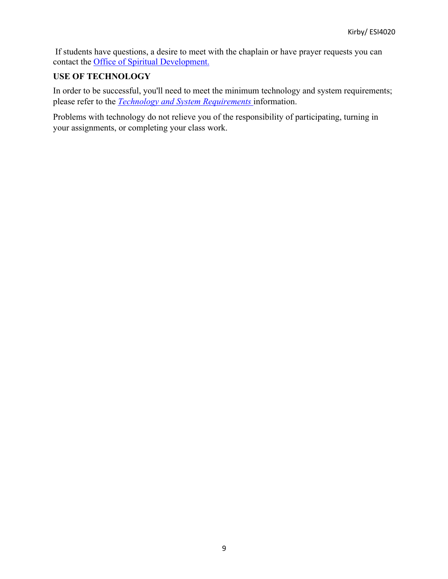If students have questions, a desire to meet with the chaplain or have prayer requests you can contact the Office of Spiritual Development.

#### **USE OF TECHNOLOGY**

In order to be successful, you'll need to meet the minimum technology and system requirements; please refer to the *Technology and System Requirements* information.

Problems with technology do not relieve you of the responsibility of participating, turning in your assignments, or completing your class work.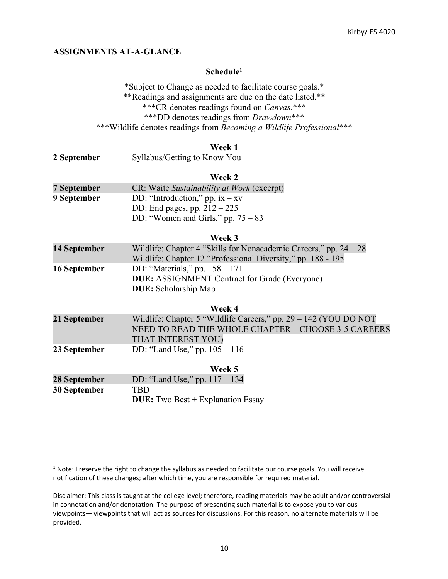#### **ASSIGNMENTS AT-A-GLANCE**

#### **Schedule1**

\*Subject to Change as needed to facilitate course goals.\* \*\*Readings and assignments are due on the date listed.\*\* \*\*\*CR denotes readings found on *Canvas*.\*\*\* \*\*\*DD denotes readings from *Drawdown*\*\*\* \*\*\*Wildlife denotes readings from *Becoming a Wildlife Professional*\*\*\*

#### **Week 1**

| 2 September | Syllabus/Getting to Know You |
|-------------|------------------------------|
|-------------|------------------------------|

#### **Week 2**

| 7 September | CR: Waite Sustainability at Work (excerpt) |
|-------------|--------------------------------------------|
| 9 September | DD: "Introduction," pp. $ix - xv$          |
|             | DD: End pages, pp. $212 - 225$             |
|             | DD: "Women and Girls," pp. $75 - 83$       |

#### **Week 3**

| 14 September | Wildlife: Chapter 4 "Skills for Nonacademic Careers," pp. $24 - 28$<br>Wildlife: Chapter 12 "Professional Diversity," pp. 188 - 195 |
|--------------|-------------------------------------------------------------------------------------------------------------------------------------|
| 16 September | DD: "Materials," pp. $158 - 171$<br><b>DUE:</b> ASSIGNMENT Contract for Grade (Everyone)                                            |
|              | <b>DUE:</b> Scholarship Map                                                                                                         |

|              | Week 4                                                             |
|--------------|--------------------------------------------------------------------|
| 21 September | Wildlife: Chapter 5 "Wildlife Careers," $pp. 29 - 142$ (YOU DO NOT |
|              | NEED TO READ THE WHOLE CHAPTER—CHOOSE 3-5 CAREERS                  |
|              | THAT INTEREST YOU)                                                 |
| 23 September | DD: "Land Use," pp. $105 - 116$                                    |

|              | Week 5                                   |
|--------------|------------------------------------------|
| 28 September | DD: "Land Use," pp. $117 - 134$          |
| 30 September | <b>TRD</b>                               |
|              | <b>DUE:</b> Two Best + Explanation Essay |

<sup>&</sup>lt;sup>1</sup> Note: I reserve the right to change the syllabus as needed to facilitate our course goals. You will receive notification of these changes; after which time, you are responsible for required material.

Disclaimer: This class is taught at the college level; therefore, reading materials may be adult and/or controversial in connotation and/or denotation. The purpose of presenting such material is to expose you to various viewpoints— viewpoints that will act as sources for discussions. For this reason, no alternate materials will be provided.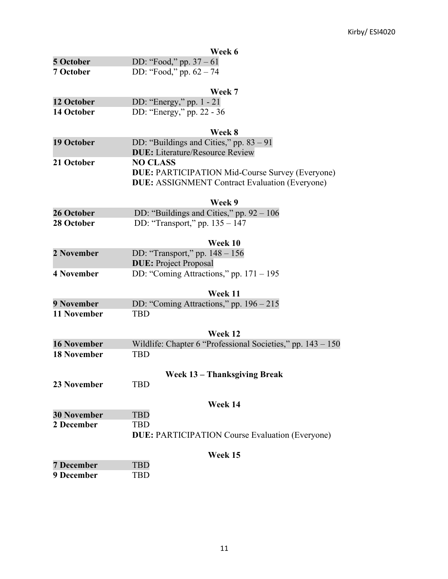|                    | Week 6                                                        |
|--------------------|---------------------------------------------------------------|
| 5 October          | DD: "Food," pp. $37 - 61$                                     |
| 7 October          | DD: "Food," pp. $62 - 74$                                     |
|                    |                                                               |
|                    | Week 7                                                        |
| 12 October         | DD: "Energy," pp. 1 - 21                                      |
| 14 October         | DD: "Energy," pp. 22 - 36                                     |
|                    | Week 8                                                        |
| 19 October         | DD: "Buildings and Cities," pp. $83 - 91$                     |
|                    | <b>DUE:</b> Literature/Resource Review                        |
| 21 October         | <b>NO CLASS</b>                                               |
|                    | <b>DUE: PARTICIPATION Mid-Course Survey (Everyone)</b>        |
|                    | <b>DUE: ASSIGNMENT Contract Evaluation (Everyone)</b>         |
|                    | Week 9                                                        |
| 26 October         | DD: "Buildings and Cities," pp. $92 - 106$                    |
| 28 October         | DD: "Transport," pp. 135 – 147                                |
|                    |                                                               |
|                    | Week 10                                                       |
| 2 November         | DD: "Transport," pp. $148 - 156$                              |
|                    | <b>DUE:</b> Project Proposal                                  |
| <b>4 November</b>  | DD: "Coming Attractions," pp. $171 - 195$                     |
|                    | Week 11                                                       |
| 9 November         | DD: "Coming Attractions," pp. $196 - 215$                     |
| 11 November        | <b>TBD</b>                                                    |
|                    |                                                               |
|                    | Week 12                                                       |
| <b>16 November</b> | Wildlife: Chapter 6 "Professional Societies," pp. $143 - 150$ |
| <b>18 November</b> | <b>TBD</b>                                                    |
|                    |                                                               |
|                    | <b>Week 13 - Thanksgiving Break</b>                           |
| <b>23 November</b> | <b>TBD</b>                                                    |
|                    | Week 14                                                       |
| <b>30 November</b> | <b>TBD</b>                                                    |
| 2 December         | <b>TBD</b>                                                    |
|                    | <b>DUE: PARTICIPATION Course Evaluation (Everyone)</b>        |
|                    | Week 15                                                       |
| <b>7 December</b>  | <b>TBD</b>                                                    |
| 9 December         | <b>TBD</b>                                                    |
|                    |                                                               |